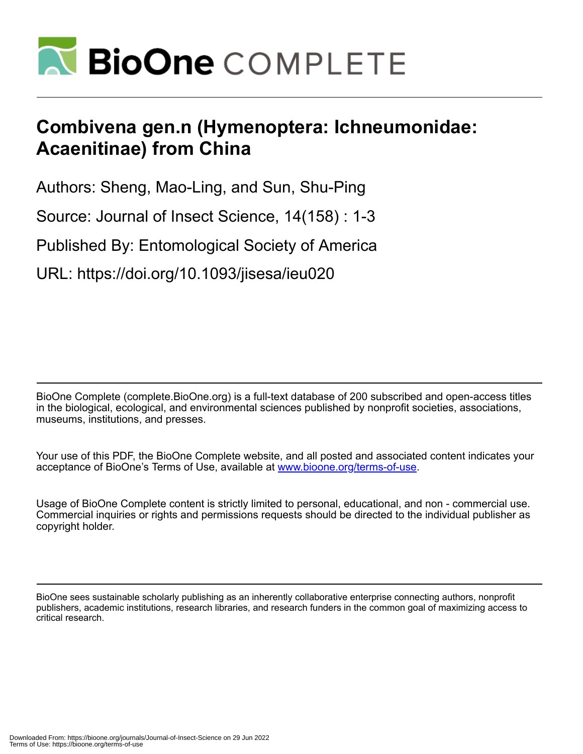

# **Combivena gen.n (Hymenoptera: Ichneumonidae: Acaenitinae) from China**

Authors: Sheng, Mao-Ling, and Sun, Shu-Ping

Source: Journal of Insect Science, 14(158) : 1-3

Published By: Entomological Society of America

URL: https://doi.org/10.1093/jisesa/ieu020

BioOne Complete (complete.BioOne.org) is a full-text database of 200 subscribed and open-access titles in the biological, ecological, and environmental sciences published by nonprofit societies, associations, museums, institutions, and presses.

Your use of this PDF, the BioOne Complete website, and all posted and associated content indicates your acceptance of BioOne's Terms of Use, available at www.bioone.org/terms-of-use.

Usage of BioOne Complete content is strictly limited to personal, educational, and non - commercial use. Commercial inquiries or rights and permissions requests should be directed to the individual publisher as copyright holder.

BioOne sees sustainable scholarly publishing as an inherently collaborative enterprise connecting authors, nonprofit publishers, academic institutions, research libraries, and research funders in the common goal of maximizing access to critical research.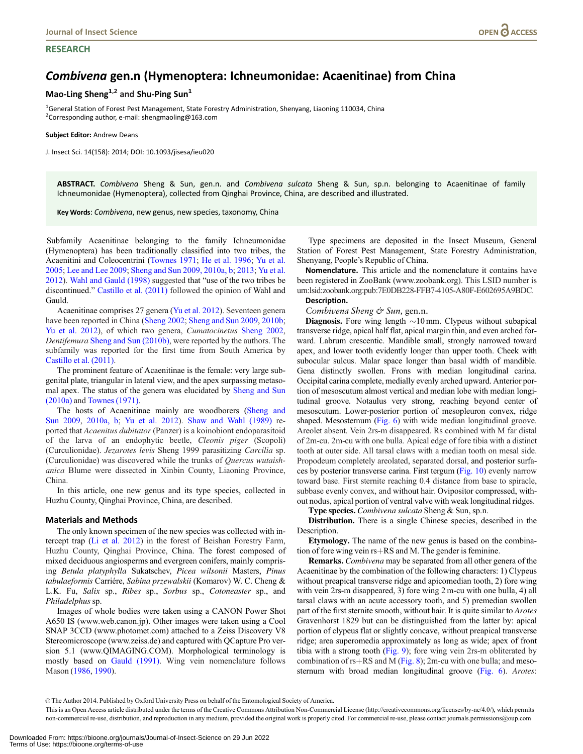## **RESEARCH**

## Combivena gen.n (Hymenoptera: Ichneumonidae: Acaenitinae) from China

## Mao-Ling Sheng<sup>1,2</sup> and Shu-Ping Sun<sup>1</sup>

<sup>1</sup>General Station of Forest Pest Management, State Forestry Administration, Shenyang, Liaoning 110034, China <sup>2</sup>Corresponding author, e-mail: shengmaoling@163.com

Subject Editor: Andrew Deans

J. Insect Sci. 14(158): 2014; DOI: 10.1093/jisesa/ieu020

ABSTRACT. Combivena Sheng & Sun, gen.n. and Combivena sulcata Sheng & Sun, sp.n. belonging to Acaenitinae of family Ichneumonidae (Hymenoptera), collected from Qinghai Province, China, are described and illustrated.

Key Words: Combivena, new genus, new species, taxonomy, China

Subfamily Acaenitinae belonging to the family Ichneumonidae (Hymenoptera) has been traditionally classified into two tribes, the Acaenitini and Coleocentrini ([Townes 1971;](#page-3-0) [He et al. 1996;](#page-3-0) [Yu et al.](#page-3-0) [2005;](#page-3-0) [Lee and Lee 2009](#page-3-0); [Sheng and Sun 2009, 2010a, b;](#page-3-0) [2013](#page-3-0); [Yu et al.](#page-3-0) [2012\)](#page-3-0). [Wahl and Gauld \(1998\)](#page-3-0) suggested that "use of the two tribes be discontinued." [Castillo et al. \(2011\)](#page-3-0) followed the opinion of Wahl and Gauld.

Acaenitinae comprises 27 genera ([Yu et al. 2012\)](#page-3-0). Seventeen genera have been reported in China ([Sheng 2002;](#page-3-0) [Sheng and Sun 2009,](#page-3-0) [2010b;](#page-3-0) [Yu et al. 2012\)](#page-3-0), of which two genera, Cumatocinetus [Sheng 2002,](#page-3-0) Dentifemura [Sheng and Sun \(2010b\),](#page-3-0) were reported by the authors. The subfamily was reported for the first time from South America by [Castillo et al. \(2011\).](#page-3-0)

The prominent feature of Acaenitinae is the female: very large subgenital plate, triangular in lateral view, and the apex surpassing metasomal apex. The status of the genera was elucidated by [Sheng and Sun](#page-3-0) [\(2010a\)](#page-3-0) and [Townes \(1971\).](#page-3-0)

The hosts of Acaenitinae mainly are woodborers [\(Sheng and](#page-3-0) [Sun 2009](#page-3-0), [2010a, b](#page-3-0); [Yu et al. 2012\)](#page-3-0). [Shaw and Wahl \(1989\)](#page-3-0) reported that Acaenitus dubitator (Panzer) is a koinobiont endoparasitoid of the larva of an endophytic beetle, Cleonis piger (Scopoli) (Curculionidae). Jezarotes levis Sheng 1999 parasitizing Carcilia sp. (Curculionidae) was discovered while the trunks of Quercus wutaishanica Blume were dissected in Xinbin County, Liaoning Province, China.

In this article, one new genus and its type species, collected in Huzhu County, Qinghai Province, China, are described.

## Materials and Methods

The only known specimen of the new species was collected with intercept trap ([Li et al. 2012](#page-3-0)) in the forest of Beishan Forestry Farm, Huzhu County, Qinghai Province, China. The forest composed of mixed deciduous angiosperms and evergreen conifers, mainly comprising Betula platyphylla Sukatschev, Picea wilsonii Masters, Pinus tabulaeformis Carriére, Sabina przewalskii (Komarov) W. C. Cheng & L.K. Fu, Salix sp., Ribes sp., Sorbus sp., Cotoneaster sp., and Philadelphus sp.

Images of whole bodies were taken using a CANON Power Shot A650 IS (www.web.canon.jp). Other images were taken using a Cool SNAP 3CCD (www.photomet.com) attached to a Zeiss Discovery V8 Stereomicroscope (www.zeiss.de) and captured with QCapture Pro version 5.1 (www.QIMAGING.COM). Morphological terminology is mostly based on [Gauld \(1991\)](#page-3-0). Wing vein nomenclature follows Mason [\(1986](#page-3-0), [1990](#page-3-0)).

Type specimens are deposited in the Insect Museum, General Station of Forest Pest Management, State Forestry Administration, Shenyang, People's Republic of China.

Nomenclature. This article and the nomenclature it contains have been registered in ZooBank (<www.zoobank.org>). This LSID number is urn:lsid:zoobank.org:pub:7E0DB228-FFB7-4105-A80F-E602695A9BDC. Description.

Combivena Sheng & Sun, gen.n.

**Diagnosis.** Fore wing length  $\sim$ 10 mm. Clypeus without subapical transverse ridge, apical half flat, apical margin thin, and even arched forward. Labrum crescentic. Mandible small, strongly narrowed toward apex, and lower tooth evidently longer than upper tooth. Cheek with subocular sulcus. Malar space longer than basal width of mandible. Gena distinctly swollen. Frons with median longitudinal carina. Occipital carina complete, medially evenly arched upward. Anterior portion of mesoscutum almost vertical and median lobe with median longitudinal groove. Notaulus very strong, reaching beyond center of mesoscutum. Lower-posterior portion of mesopleuron convex, ridge shaped. Mesosternum ([Fig. 6](#page-2-0)) with wide median longitudinal groove. Areolet absent. Vein 2rs-m disappeared. Rs combined with M far distal of 2m-cu. 2m-cu with one bulla. Apical edge of fore tibia with a distinct tooth at outer side. All tarsal claws with a median tooth on mesal side. Propodeum completely areolated, separated dorsal, and posterior surfaces by posterior transverse carina. First tergum ([Fig. 10\)](#page-2-0) evenly narrow toward base. First sternite reaching 0.4 distance from base to spiracle, subbase evenly convex, and without hair. Ovipositor compressed, without nodus, apical portion of ventral valve with weak longitudinal ridges.

Type species. Combivena sulcata Sheng & Sun, sp.n.

Distribution. There is a single Chinese species, described in the Description.

Etymology. The name of the new genus is based on the combination of fore wing vein  $rs+RS$  and M. The gender is feminine.

Remarks. Combivena may be separated from all other genera of the Acaenitinae by the combination of the following characters: 1) Clypeus without preapical transverse ridge and apicomedian tooth, 2) fore wing with vein 2rs-m disappeared, 3) fore wing 2 m-cu with one bulla, 4) all tarsal claws with an acute accessory tooth, and 5) premedian swollen part of the first sternite smooth, without hair. It is quite similar to Arotes Gravenhorst 1829 but can be distinguished from the latter by: apical portion of clypeus flat or slightly concave, without preapical transverse ridge; area superomedia approximately as long as wide; apex of front tibia with a strong tooth [\(Fig. 9\)](#page-2-0); fore wing vein 2rs-m obliterated by combination of  $rs+RS$  and M [\(Fig. 8](#page-2-0)); 2m-cu with one bulla; and meso-sternum with broad median longitudinal groove [\(Fig. 6](#page-2-0)). Arotes:

V<sup>C</sup> The Author 2014. Published by Oxford University Press on behalf of the Entomological Society of America.

This is an Open Access article distributed under the terms of the Creative Commons Attribution Non-Commercial License (http://creativecommons.org/licenses/by-nc/4.0/), which permits non-commercial re-use, distribution, and reproduction in any medium, provided the original work is properly cited. For commercial re-use, please contact journals.permissions@oup.com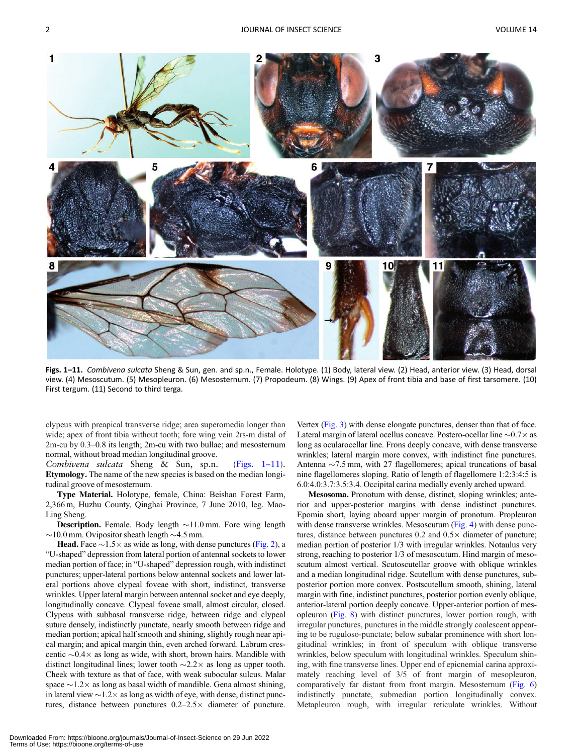<span id="page-2-0"></span>

Figs. 1-11. Combivena sulcata Sheng & Sun, gen. and sp.n., Female. Holotype. (1) Body, lateral view. (2) Head, anterior view. (3) Head, dorsal view. (4) Mesoscutum. (5) Mesopleuron. (6) Mesosternum. (7) Propodeum. (8) Wings. (9) Apex of front tibia and base of first tarsomere. (10) First tergum. (11) Second to third terga.

clypeus with preapical transverse ridge; area superomedia longer than wide; apex of front tibia without tooth; fore wing vein 2rs-m distal of 2m-cu by 0.3–0.8 its length; 2m-cu with two bullae; and mesosternum normal, without broad median longitudinal groove.

Combivena sulcata Sheng & Sun, sp.n. (Figs. 1–11). Etymology. The name of the new species is based on the median longitudinal groove of mesosternum.

Type Material. Holotype, female, China: Beishan Forest Farm, 2,366 m, Huzhu County, Qinghai Province, 7 June 2010, leg. Mao-Ling Sheng.

**Description.** Female. Body length  $\sim$ 11.0 mm. Fore wing length  $\sim$ 10.0 mm. Ovipositor sheath length  $\sim$ 4.5 mm.

**Head.** Face  $\sim$ 1.5 $\times$  as wide as long, with dense punctures (Fig. 2), a "U-shaped" depression from lateral portion of antennal sockets to lower median portion of face; in "U-shaped" depression rough, with indistinct punctures; upper-lateral portions below antennal sockets and lower lateral portions above clypeal foveae with short, indistinct, transverse wrinkles. Upper lateral margin between antennal socket and eye deeply, longitudinally concave. Clypeal foveae small, almost circular, closed. Clypeus with subbasal transverse ridge, between ridge and clypeal suture densely, indistinctly punctate, nearly smooth between ridge and median portion; apical half smooth and shining, slightly rough near apical margin; and apical margin thin, even arched forward. Labrum crescentic  $\sim 0.4 \times$  as long as wide, with short, brown hairs. Mandible with distinct longitudinal lines; lower tooth  $\sim$ 2.2 $\times$  as long as upper tooth. Cheek with texture as that of face, with weak subocular sulcus. Malar space  $\sim$ 1.2 $\times$  as long as basal width of mandible. Gena almost shining, in lateral view  $\sim$  1.2 $\times$  as long as width of eye, with dense, distinct punctures, distance between punctures  $0.2-2.5 \times$  diameter of puncture.

Vertex (Fig. 3) with dense elongate punctures, denser than that of face. Lateral margin of lateral ocellus concave. Postero-ocellar line  ${\sim}0.7{\times}$  as long as ocularocellar line. Frons deeply concave, with dense transverse wrinkles; lateral margin more convex, with indistinct fine punctures. Antenna  $\sim$  7.5 mm, with 27 flagellomeres; apical truncations of basal nine flagellomeres sloping. Ratio of length of flagellomere 1:2:3:4:5 is 6.0:4.0:3.7:3.5:3.4. Occipital carina medially evenly arched upward.

Mesosoma. Pronotum with dense, distinct, sloping wrinkles; anterior and upper-posterior margins with dense indistinct punctures. Epomia short, laying aboard upper margin of pronotum. Propleuron with dense transverse wrinkles. Mesoscutum (Fig. 4) with dense punctures, distance between punctures  $0.2$  and  $0.5 \times$  diameter of puncture; median portion of posterior 1/3 with irregular wrinkles. Notaulus very strong, reaching to posterior 1/3 of mesoscutum. Hind margin of mesoscutum almost vertical. Scutoscutellar groove with oblique wrinkles and a median longitudinal ridge. Scutellum with dense punctures, subposterior portion more convex. Postscutellum smooth, shining, lateral margin with fine, indistinct punctures, posterior portion evenly oblique, anterior-lateral portion deeply concave. Upper-anterior portion of mesopleuron (Fig. 8) with distinct punctures, lower portion rough, with irregular punctures, punctures in the middle strongly coalescent appearing to be ruguloso-punctate; below subalar prominence with short longitudinal wrinkles; in front of speculum with oblique transverse wrinkles, below speculum with longitudinal wrinkles. Speculum shining, with fine transverse lines. Upper end of epicnemial carina approximately reaching level of 3/5 of front margin of mesopleuron, comparatively far distant from front margin. Mesosternum (Fig. 6) indistinctly punctate, submedian portion longitudinally convex. Metapleuron rough, with irregular reticulate wrinkles. Without